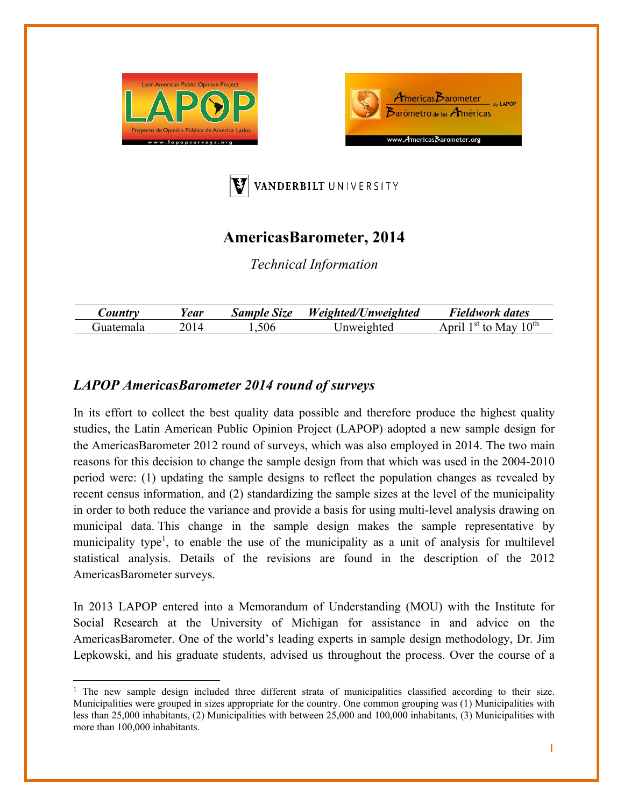





## **AmericasBarometer, 2014**

*Technical Information* 

| $\mathcal{L}$ ountry | 'ear | <b>Sample Size</b> | Weighted/Unweighted | Fieldwork dates                                      |
|----------------------|------|--------------------|---------------------|------------------------------------------------------|
| 111atemala           |      | ,506               | Inweighted          | 1 $\Lambda$ <sup>th</sup><br>$1st$ to<br>nrıl<br>Mav |

## *LAPOP AmericasBarometer 2014 round of surveys*

In its effort to collect the best quality data possible and therefore produce the highest quality studies, the Latin American Public Opinion Project (LAPOP) adopted a new sample design for the AmericasBarometer 2012 round of surveys, which was also employed in 2014. The two main reasons for this decision to change the sample design from that which was used in the 2004-2010 period were: (1) updating the sample designs to reflect the population changes as revealed by recent census information, and (2) standardizing the sample sizes at the level of the municipality in order to both reduce the variance and provide a basis for using multi-level analysis drawing on municipal data. This change in the sample design makes the sample representative by municipality type<sup>1</sup>, to enable the use of the municipality as a unit of analysis for multilevel statistical analysis. Details of the revisions are found in the description of the 2012 AmericasBarometer surveys.

In 2013 LAPOP entered into a Memorandum of Understanding (MOU) with the Institute for Social Research at the University of Michigan for assistance in and advice on the AmericasBarometer. One of the world's leading experts in sample design methodology, Dr. Jim Lepkowski, and his graduate students, advised us throughout the process. Over the course of a

<sup>&</sup>lt;sup>1</sup> The new sample design included three different strata of municipalities classified according to their size. Municipalities were grouped in sizes appropriate for the country. One common grouping was (1) Municipalities with less than 25,000 inhabitants, (2) Municipalities with between 25,000 and 100,000 inhabitants, (3) Municipalities with more than 100,000 inhabitants.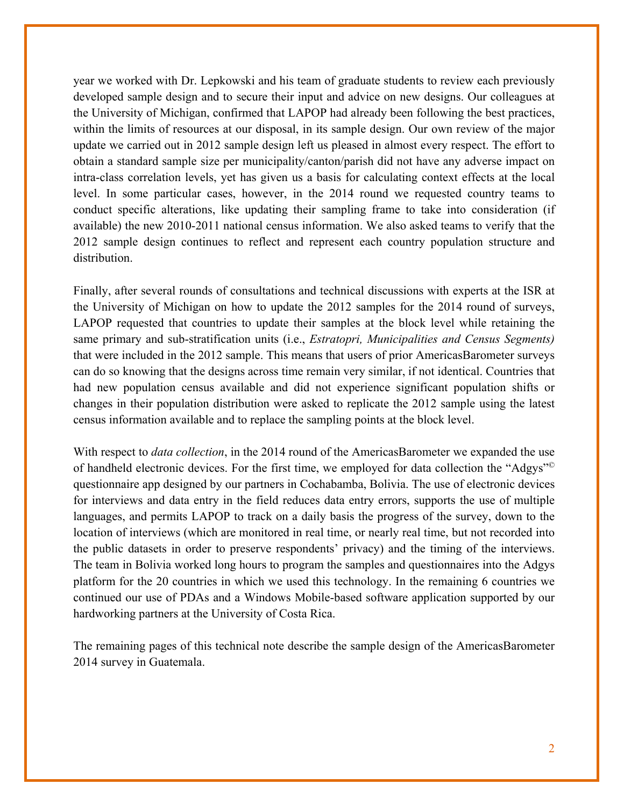year we worked with Dr. Lepkowski and his team of graduate students to review each previously developed sample design and to secure their input and advice on new designs. Our colleagues at the University of Michigan, confirmed that LAPOP had already been following the best practices, within the limits of resources at our disposal, in its sample design. Our own review of the major update we carried out in 2012 sample design left us pleased in almost every respect. The effort to obtain a standard sample size per municipality/canton/parish did not have any adverse impact on intra-class correlation levels, yet has given us a basis for calculating context effects at the local level. In some particular cases, however, in the 2014 round we requested country teams to conduct specific alterations, like updating their sampling frame to take into consideration (if available) the new 2010-2011 national census information. We also asked teams to verify that the 2012 sample design continues to reflect and represent each country population structure and distribution.

Finally, after several rounds of consultations and technical discussions with experts at the ISR at the University of Michigan on how to update the 2012 samples for the 2014 round of surveys, LAPOP requested that countries to update their samples at the block level while retaining the same primary and sub-stratification units (i.e., *Estratopri, Municipalities and Census Segments)*  that were included in the 2012 sample. This means that users of prior AmericasBarometer surveys can do so knowing that the designs across time remain very similar, if not identical. Countries that had new population census available and did not experience significant population shifts or changes in their population distribution were asked to replicate the 2012 sample using the latest census information available and to replace the sampling points at the block level.

With respect to *data collection*, in the 2014 round of the AmericasBarometer we expanded the use of handheld electronic devices. For the first time, we employed for data collection the "Adgys"© questionnaire app designed by our partners in Cochabamba, Bolivia. The use of electronic devices for interviews and data entry in the field reduces data entry errors, supports the use of multiple languages, and permits LAPOP to track on a daily basis the progress of the survey, down to the location of interviews (which are monitored in real time, or nearly real time, but not recorded into the public datasets in order to preserve respondents' privacy) and the timing of the interviews. The team in Bolivia worked long hours to program the samples and questionnaires into the Adgys platform for the 20 countries in which we used this technology. In the remaining 6 countries we continued our use of PDAs and a Windows Mobile-based software application supported by our hardworking partners at the University of Costa Rica.

The remaining pages of this technical note describe the sample design of the AmericasBarometer 2014 survey in Guatemala.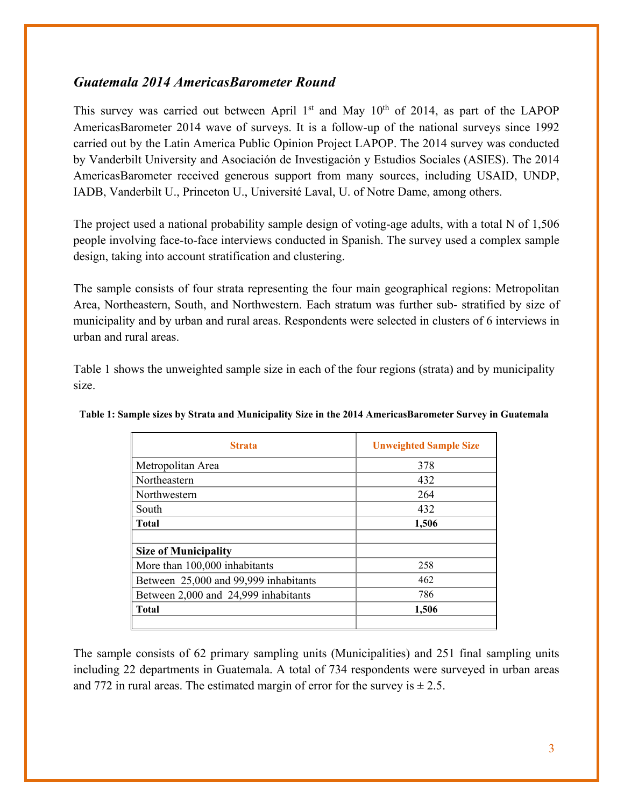## *Guatemala 2014 AmericasBarometer Round*

This survey was carried out between April  $1<sup>st</sup>$  and May  $10<sup>th</sup>$  of 2014, as part of the LAPOP AmericasBarometer 2014 wave of surveys. It is a follow-up of the national surveys since 1992 carried out by the Latin America Public Opinion Project LAPOP. The 2014 survey was conducted by Vanderbilt University and Asociación de Investigación y Estudios Sociales (ASIES). The 2014 AmericasBarometer received generous support from many sources, including USAID, UNDP, IADB, Vanderbilt U., Princeton U., Université Laval, U. of Notre Dame, among others.

The project used a national probability sample design of voting-age adults, with a total N of 1,506 people involving face-to-face interviews conducted in Spanish. The survey used a complex sample design, taking into account stratification and clustering.

The sample consists of four strata representing the four main geographical regions: Metropolitan Area, Northeastern, South, and Northwestern. Each stratum was further sub- stratified by size of municipality and by urban and rural areas. Respondents were selected in clusters of 6 interviews in urban and rural areas.

Table 1 shows the unweighted sample size in each of the four regions (strata) and by municipality size.

| <b>Strata</b>                         | <b>Unweighted Sample Size</b> |
|---------------------------------------|-------------------------------|
| Metropolitan Area                     | 378                           |
| Northeastern                          | 432                           |
| Northwestern                          | 264                           |
| South                                 | 432                           |
| <b>Total</b>                          | 1,506                         |
|                                       |                               |
| <b>Size of Municipality</b>           |                               |
| More than 100,000 inhabitants         | 258                           |
| Between 25,000 and 99,999 inhabitants | 462                           |
| Between 2,000 and 24,999 inhabitants  | 786                           |
| <b>Total</b>                          | 1,506                         |
|                                       |                               |

**Table 1: Sample sizes by Strata and Municipality Size in the 2014 AmericasBarometer Survey in Guatemala** 

The sample consists of 62 primary sampling units (Municipalities) and 251 final sampling units including 22 departments in Guatemala. A total of 734 respondents were surveyed in urban areas and 772 in rural areas. The estimated margin of error for the survey is  $\pm 2.5$ .